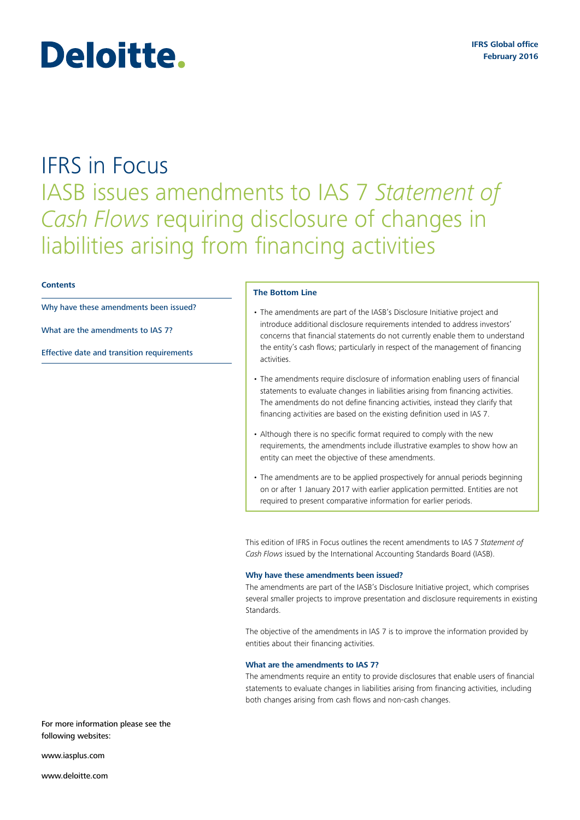# IFRS in Focus IASB issues amendments to IAS 7 *Statement of Cash Flows* requiring disclosure of changes in liabilities arising from financing activities

## **Contents**

[Why have these amendments been issued?](#page-0-0)

Deloitte.

What are the amendments to IAS 7?

[Effective date and transition requirements](#page-1-0)

#### **The Bottom Line**

- The amendments are part of the IASB's Disclosure Initiative project and introduce additional disclosure requirements intended to address investors' concerns that financial statements do not currently enable them to understand the entity's cash flows; particularly in respect of the management of financing activities.
- The amendments require disclosure of information enabling users of financial statements to evaluate changes in liabilities arising from financing activities. The amendments do not define financing activities, instead they clarify that financing activities are based on the existing definition used in IAS 7.
- Although there is no specific format required to comply with the new requirements, the amendments include illustrative examples to show how an entity can meet the objective of these amendments.
- The amendments are to be applied prospectively for annual periods beginning on or after 1 January 2017 with earlier application permitted. Entities are not required to present comparative information for earlier periods.

This edition of IFRS in Focus outlines the recent amendments to IAS 7 *Statement of Cash Flows* issued by the International Accounting Standards Board (IASB).

#### <span id="page-0-0"></span>**Why have these amendments been issued?**

The amendments are part of the IASB's Disclosure Initiative project, which comprises several smaller projects to improve presentation and disclosure requirements in existing **Standards** 

The objective of the amendments in IAS 7 is to improve the information provided by entities about their financing activities.

# **What are the amendments to IAS 7?**

The amendments require an entity to provide disclosures that enable users of financial statements to evaluate changes in liabilities arising from financing activities, including both changes arising from cash flows and non‑cash changes.

For more information please see the following websites:

<www.iasplus.com>

<www.deloitte.com>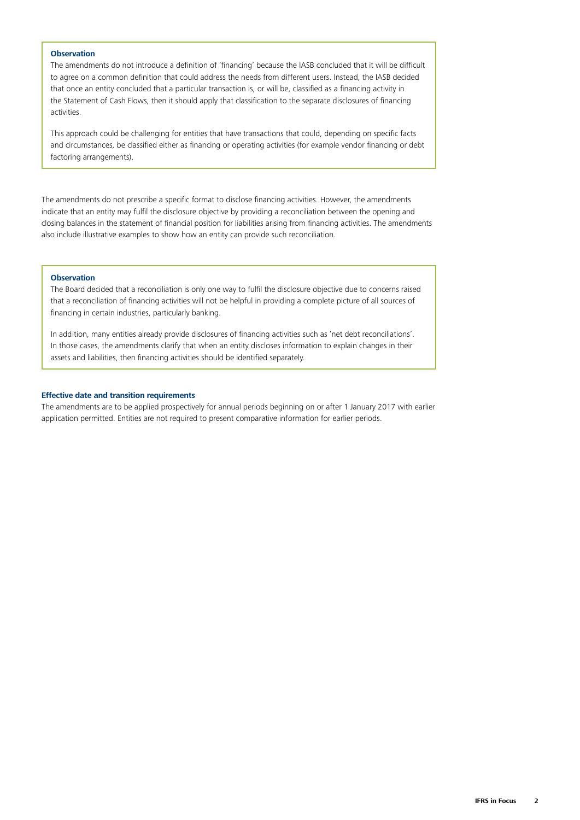## **Observation**

The amendments do not introduce a definition of 'financing' because the IASB concluded that it will be difficult to agree on a common definition that could address the needs from different users. Instead, the IASB decided that once an entity concluded that a particular transaction is, or will be, classified as a financing activity in the Statement of Cash Flows, then it should apply that classification to the separate disclosures of financing activities.

This approach could be challenging for entities that have transactions that could, depending on specific facts and circumstances, be classified either as financing or operating activities (for example vendor financing or debt factoring arrangements).

The amendments do not prescribe a specific format to disclose financing activities. However, the amendments indicate that an entity may fulfil the disclosure objective by providing a reconciliation between the opening and closing balances in the statement of financial position for liabilities arising from financing activities. The amendments also include illustrative examples to show how an entity can provide such reconciliation.

# **Observation**

The Board decided that a reconciliation is only one way to fulfil the disclosure objective due to concerns raised that a reconciliation of financing activities will not be helpful in providing a complete picture of all sources of financing in certain industries, particularly banking.

In addition, many entities already provide disclosures of financing activities such as 'net debt reconciliations'. In those cases, the amendments clarify that when an entity discloses information to explain changes in their assets and liabilities, then financing activities should be identified separately.

# <span id="page-1-0"></span>**Effective date and transition requirements**

The amendments are to be applied prospectively for annual periods beginning on or after 1 January 2017 with earlier application permitted. Entities are not required to present comparative information for earlier periods.